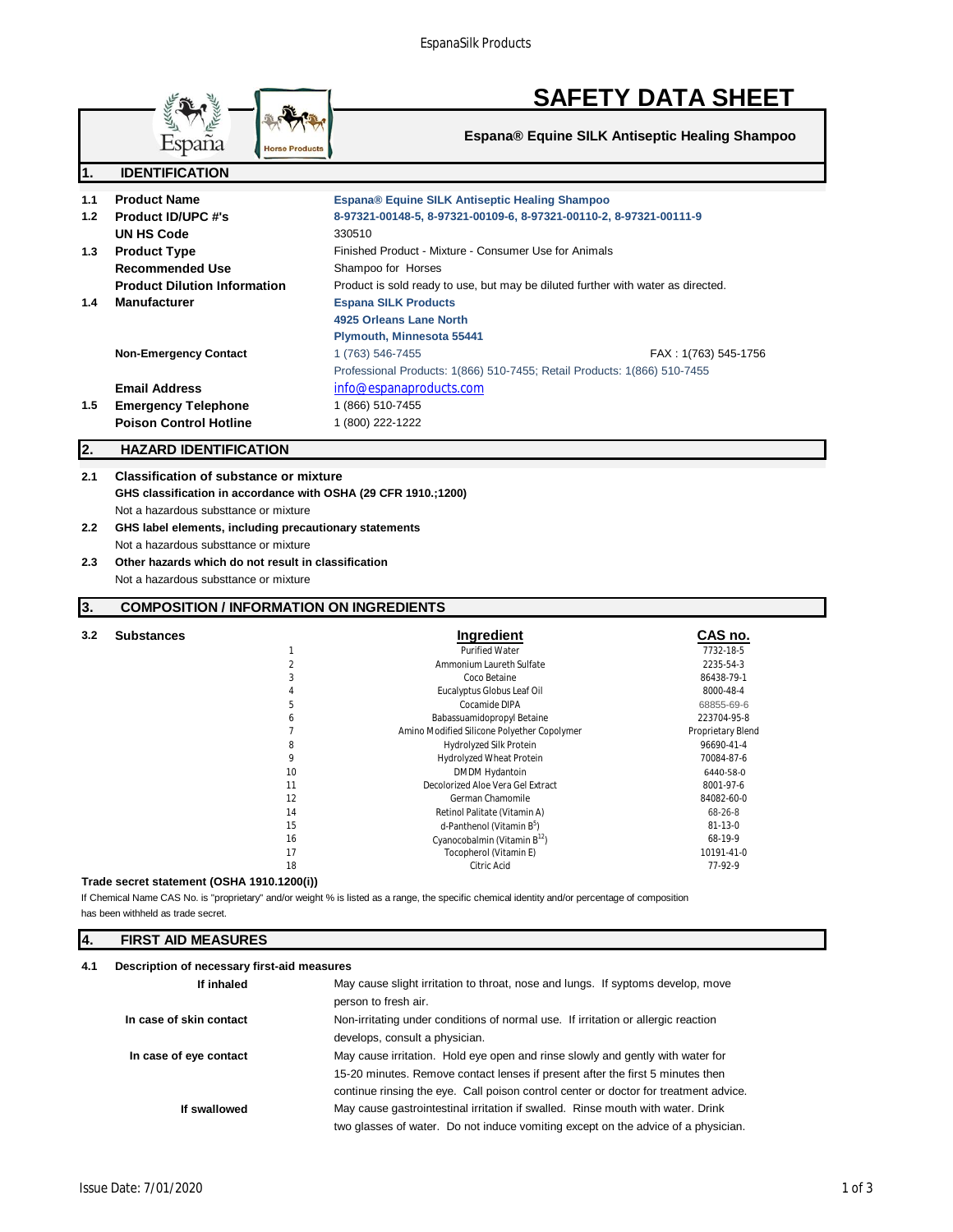EspanaSilk Products



**Espana® Equine SILK Antiseptic Healing Shampoo**

| 1.  | <b>IDENTIFICATION</b>               |                                                                                  |                      |
|-----|-------------------------------------|----------------------------------------------------------------------------------|----------------------|
| 1.1 | <b>Product Name</b>                 | Espana® Equine SILK Antiseptic Healing Shampoo                                   |                      |
| 1.2 | <b>Product ID/UPC #'s</b>           | 8-97321-00148-5, 8-97321-00109-6, 8-97321-00110-2, 8-97321-00111-9               |                      |
|     | UN HS Code                          | 330510                                                                           |                      |
| 1.3 | <b>Product Type</b>                 | Finished Product - Mixture - Consumer Use for Animals                            |                      |
|     | Recommended Use                     | Shampoo for Horses                                                               |                      |
|     | <b>Product Dilution Information</b> | Product is sold ready to use, but may be diluted further with water as directed. |                      |
| 1.4 | <b>Manufacturer</b>                 | <b>Espana SILK Products</b>                                                      |                      |
|     |                                     | 4925 Orleans Lane North                                                          |                      |
|     |                                     | <b>Plymouth, Minnesota 55441</b>                                                 |                      |
|     | <b>Non-Emergency Contact</b>        | 1 (763) 546-7455                                                                 | FAX: 1(763) 545-1756 |
|     |                                     | Professional Products: 1(866) 510-7455; Retail Products: 1(866) 510-7455         |                      |
|     | <b>Email Address</b>                | info@espanaproducts.com                                                          |                      |
| 1.5 | <b>Emergency Telephone</b>          | 1 (866) 510-7455                                                                 |                      |
|     | <b>Poison Control Hotline</b>       | 1 (800) 222-1222                                                                 |                      |
| 2.  | <b>HAZARD IDENTIFICATION</b>        |                                                                                  |                      |

### **2.1 Classification of substance or mixture GHS classification in accordance with OSHA (29 CFR 1910.;1200)** Not a hazardous substtance or mixture

**Horse Products** 

- **2.2 GHS label elements, including precautionary statements** Not a hazardous substtance or mixture
- **2.3 Other hazards which do not result in classification** Not a hazardous substtance or mixture

# **3. COMPOSITION / INFORMATION ON INGREDIENTS**

| 3.2 | <b>Substances</b> |    | Ingredient                                  | CAS no.           |
|-----|-------------------|----|---------------------------------------------|-------------------|
|     |                   |    | <b>Purified Water</b>                       | 7732-18-5         |
|     |                   |    | Ammonium Laureth Sulfate                    | 2235-54-3         |
|     |                   | 3  | Coco Betaine                                | 86438-79-1        |
|     |                   |    | Eucalyptus Globus Leaf Oil                  | 8000-48-4         |
|     |                   | 5  | Cocamide DIPA                               | 68855-69-6        |
|     |                   | h  | Babassuamidopropyl Betaine                  | 223704-95-8       |
|     |                   |    | Amino Modified Silicone Polyether Copolymer | Proprietary Blend |
|     |                   | 8  | Hydrolyzed Silk Protein                     | 96690-41-4        |
|     |                   | 9  | Hydrolyzed Wheat Protein                    | 70084-87-6        |
|     |                   | 10 | DMDM Hydantoin                              | 6440-58-0         |
|     |                   | 11 | Decolorized Aloe Vera Gel Extract           | 8001-97-6         |
|     |                   | 12 | German Chamomile                            | 84082-60-0        |
|     |                   | 14 | Retinol Palitate (Vitamin A)                | $68 - 26 - 8$     |
|     |                   | 15 | d-Panthenol (Vitamin B <sup>5</sup> )       | $81 - 13 - 0$     |
|     |                   | 16 | Cyanocobalmin (Vitamin $B^{12}$ )           | 68-19-9           |
|     |                   | 17 | Tocopherol (Vitamin E)                      | 10191-41-0        |
|     |                   | 18 | Citric Acid                                 | 77-92-9           |

#### **Trade secret statement (OSHA 1910.1200(i))**

has been withheld as trade secret. If Chemical Name CAS No. is "proprietary" and/or weight % is listed as a range, the specific chemical identity and/or percentage of composition

### **4. FIRST AID MEASURES**

### **4.1 Description of necessary first-aid measures**

| If inhaled              | May cause slight irritation to throat, nose and lungs. If syptoms develop, move      |  |
|-------------------------|--------------------------------------------------------------------------------------|--|
|                         | person to fresh air.                                                                 |  |
| In case of skin contact | Non-irritating under conditions of normal use. If irritation or allergic reaction    |  |
|                         | develops, consult a physician.                                                       |  |
| In case of eye contact  | May cause irritation. Hold eye open and rinse slowly and gently with water for       |  |
|                         | 15-20 minutes. Remove contact lenses if present after the first 5 minutes then       |  |
|                         | continue rinsing the eye. Call poison control center or doctor for treatment advice. |  |
| If swallowed            | May cause gastrointestinal irritation if swalled. Rinse mouth with water. Drink      |  |
|                         | two glasses of water. Do not induce vomiting except on the advice of a physician.    |  |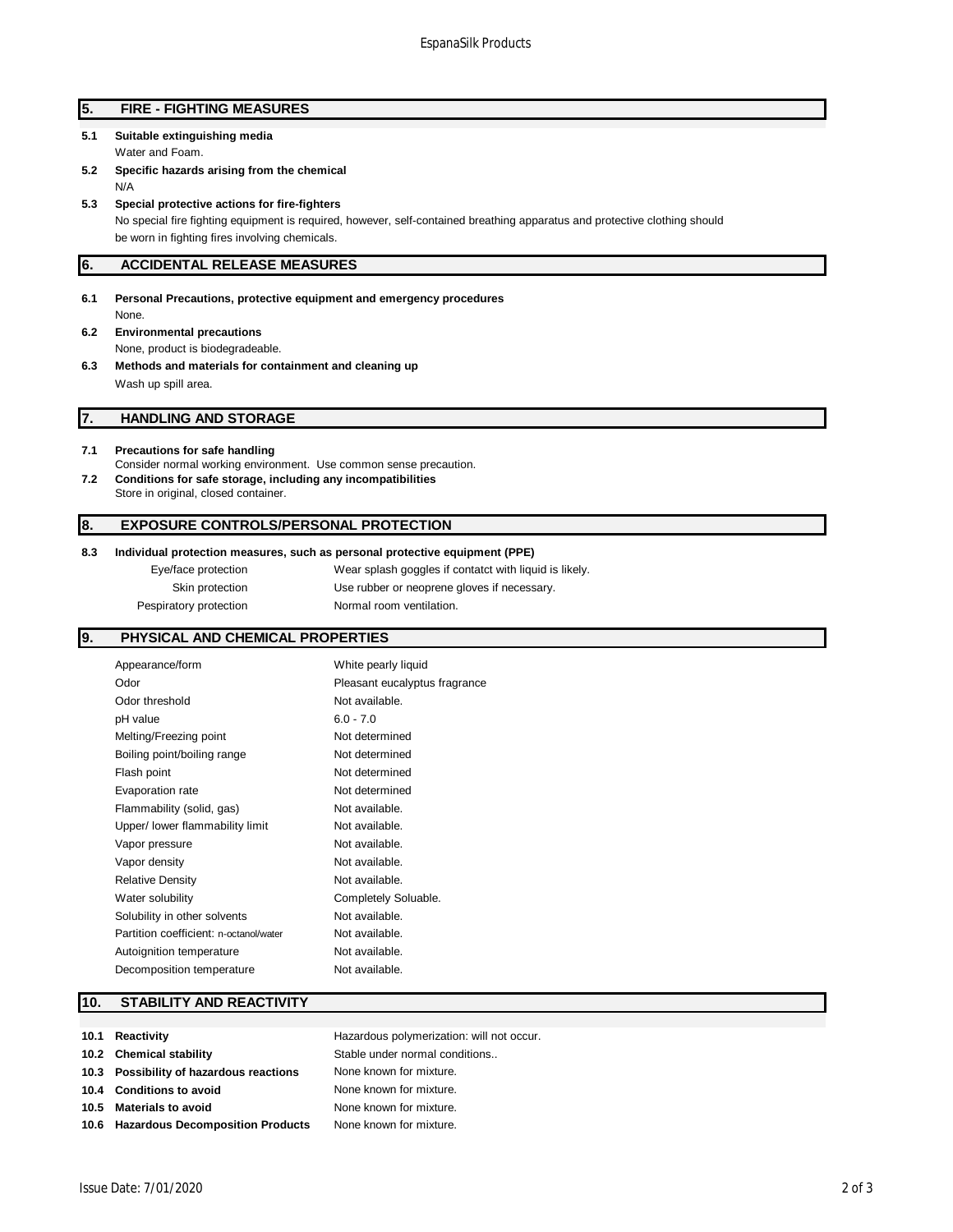| 5. |  | <b>FIRE - FIGHTING MEASURES</b> |
|----|--|---------------------------------|
|----|--|---------------------------------|

**5.1 Suitable extinguishing media**

Water and Foam.

- **5.2 Specific hazards arising from the chemical** N/A
- **5.3 Special protective actions for fire-fighters** No special fire fighting equipment is required, however, self-contained breathing apparatus and protective clothing should

be worn in fighting fires involving chemicals.

### **6. ACCIDENTAL RELEASE MEASURES**

- **6.1 Personal Precautions, protective equipment and emergency procedures** None.
- **6.2 Environmental precautions** None, product is biodegradeable.
- **6.3 Methods and materials for containment and cleaning up** Wash up spill area.

# **7. HANDLING AND STORAGE**

- **7.1 Precautions for safe handling** Consider normal working environment. Use common sense precaution. **7.2 Conditions for safe storage, including any incompatibilities**
- Store in original, closed container.

### **8. EXPOSURE CONTROLS/PERSONAL PROTECTION**

#### **8.3 Individual protection measures, such as personal protective equipment (PPE)**

Eye/face protection Wear splash goggles if contatct with liquid is likely. Skin protection Use rubber or neoprene gloves if necessary. Pespiratory protection Normal room ventilation.

# **9. PHYSICAL AND CHEMICAL PROPERTIES**

| Appearance/form                        | White pearly liquid           |
|----------------------------------------|-------------------------------|
| Odor                                   | Pleasant eucalyptus fragrance |
| Odor threshold                         | Not available.                |
| pH value                               | $6.0 - 7.0$                   |
| Melting/Freezing point                 | Not determined                |
| Boiling point/boiling range            | Not determined                |
| Flash point                            | Not determined                |
| Evaporation rate                       | Not determined                |
| Flammability (solid, gas)              | Not available.                |
| Upper/ lower flammability limit        | Not available.                |
| Vapor pressure                         | Not available.                |
| Vapor density                          | Not available.                |
| <b>Relative Density</b>                | Not available.                |
| Water solubility                       | Completely Soluable.          |
| Solubility in other solvents           | Not available.                |
| Partition coefficient: n-octanol/water | Not available.                |
| Autoignition temperature               | Not available.                |
| Decomposition temperature              | Not available.                |
|                                        |                               |

### **10. STABILITY AND REACTIVITY**

| 10.1 Reactivity                         | Hazardous polymerization: will not occur. |
|-----------------------------------------|-------------------------------------------|
| 10.2 Chemical stability                 | Stable under normal conditions            |
| 10.3 Possibility of hazardous reactions | None known for mixture.                   |
| 10.4 Conditions to avoid                | None known for mixture.                   |
| 10.5 Materials to avoid                 | None known for mixture.                   |
| 10.6 Hazardous Decomposition Products   | None known for mixture.                   |